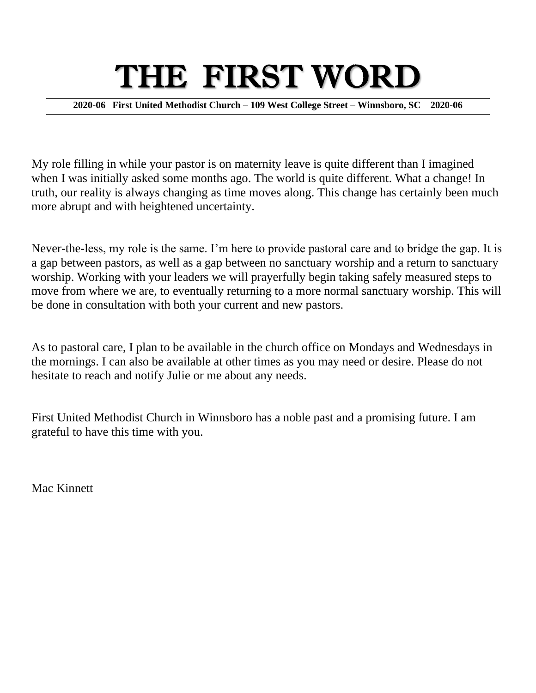# THE FIRST WORD

**2020-06 First United Methodist Church – 109 West College Street – Winnsboro, SC 2020-06**

My role filling in while your pastor is on maternity leave is quite different than I imagined when I was initially asked some months ago. The world is quite different. What a change! In truth, our reality is always changing as time moves along. This change has certainly been much more abrupt and with heightened uncertainty.

Never-the-less, my role is the same. I'm here to provide pastoral care and to bridge the gap. It is a gap between pastors, as well as a gap between no sanctuary worship and a return to sanctuary worship. Working with your leaders we will prayerfully begin taking safely measured steps to move from where we are, to eventually returning to a more normal sanctuary worship. This will be done in consultation with both your current and new pastors.

As to pastoral care, I plan to be available in the church office on Mondays and Wednesdays in the mornings. I can also be available at other times as you may need or desire. Please do not hesitate to reach and notify Julie or me about any needs.

First United Methodist Church in Winnsboro has a noble past and a promising future. I am grateful to have this time with you.

Mac Kinnett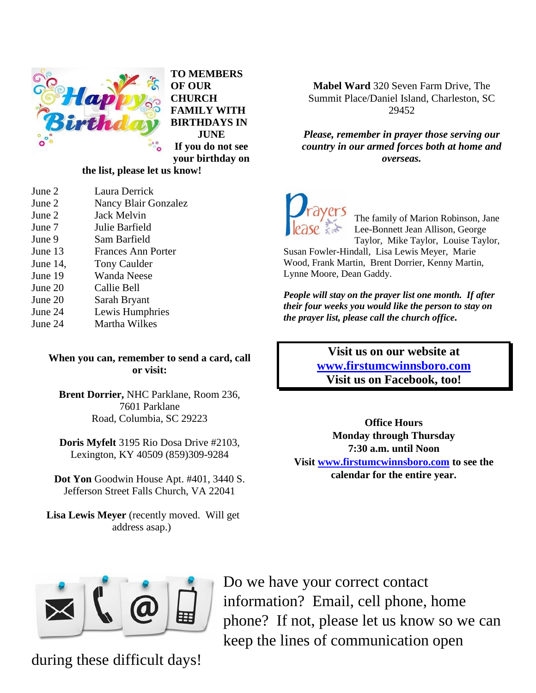

**TO MEMBERS OF OUR CHURCH FAMILY WITH BIRTHDAYS IN JUNE If you do not see your birthday on** 

#### **the list, please let us know!**

- June 2 Laura Derrick
- June 2 Nancy Blair Gonzalez
- June 2 Jack Melvin June 7 Julie Barfield
- June 9 Sam Barfield
- June 13 Frances Ann Porter
- June 14, Tony Caulder
- June 19 Wanda Neese
- June 20 Callie Bell
- June 20 Sarah Bryant
- June 24 Lewis Humphries
- June 24 Martha Wilkes

#### **When you can, remember to send a card, call or visit:**

**Brent Dorrier,** NHC Parklane, Room 236, 7601 Parklane Road, Columbia, SC 29223

**Doris Myfelt** 3195 Rio Dosa Drive #2103, Lexington, KY 40509 (859)309-9284

**Dot Yon** Goodwin House Apt. #401, 3440 S. Jefferson Street Falls Church, VA 22041

**Lisa Lewis Meyer** (recently moved. Will get address asap.)

**Mabel Ward** 320 Seven Farm Drive, The Summit Place/Daniel Island, Charleston, SC 29452

*Please, remember in prayer those serving our country in our armed forces both at home and overseas.*



The family of Marion Robinson, Jane Lee-Bonnett Jean Allison, George Taylor, Mike Taylor, Louise Taylor,

Susan Fowler-Hindall, Lisa Lewis Meyer, Marie Wood, Frank Martin, Brent Dorrier, Kenny Martin, Lynne Moore, Dean Gaddy.

*People will stay on the prayer list one month. If after their four weeks you would like the person to stay on the prayer list, please call the church office.*

> **Visit us on our website at [www.firstumcwinnsboro.com](http://www.firstumcwinnsboro.com/) Visit us on Facebook, too!**

**Office Hours Monday through Thursday 7:30 a.m. until Noon Visit [www.firstumcwinnsboro.com](http://www.firstumcwinnsboro.com/) to see the calendar for the entire year.**



Do we have your correct contact information? Email, cell phone, home phone? If not, please let us know so we can keep the lines of communication open

during these difficult days!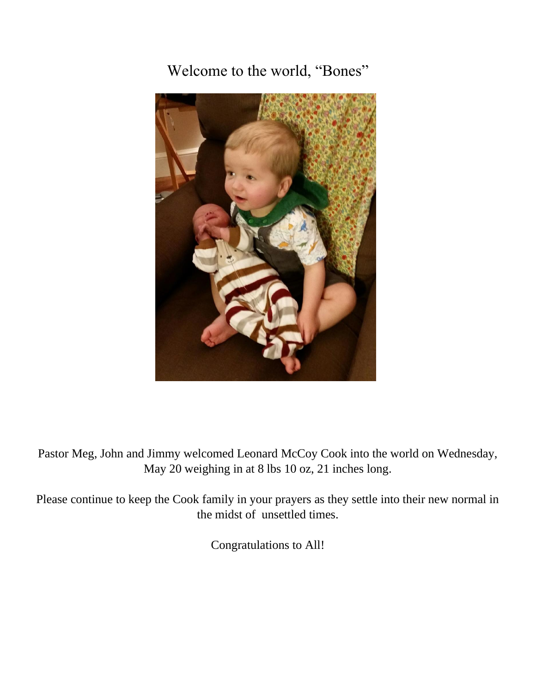Welcome to the world, "Bones"



Pastor Meg, John and Jimmy welcomed Leonard McCoy Cook into the world on Wednesday, May 20 weighing in at 8 lbs 10 oz, 21 inches long.

Please continue to keep the Cook family in your prayers as they settle into their new normal in the midst of unsettled times.

Congratulations to All!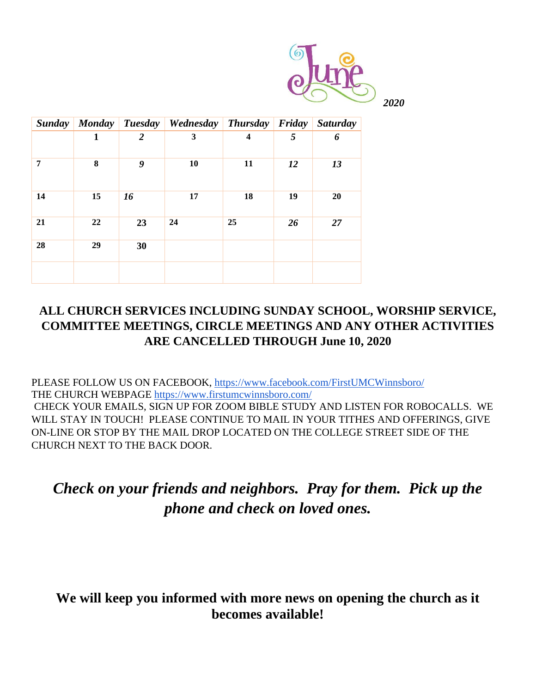

|    |              |                  | Sunday   Monday   Tuesday   Wednesday   Thursday   Friday   Saturday |                         |    |    |
|----|--------------|------------------|----------------------------------------------------------------------|-------------------------|----|----|
|    | $\mathbf{1}$ | $\boldsymbol{2}$ | $\mathbf{3}$                                                         | $\overline{\mathbf{4}}$ | 5  | 6  |
| 7  | 8            | 9                | 10                                                                   | 11                      | 12 | 13 |
| 14 | 15           | 16               | 17                                                                   | 18                      | 19 | 20 |
| 21 | 22           | 23               | 24                                                                   | 25                      | 26 | 27 |
| 28 | 29           | 30               |                                                                      |                         |    |    |
|    |              |                  |                                                                      |                         |    |    |

## **ALL CHURCH SERVICES INCLUDING SUNDAY SCHOOL, WORSHIP SERVICE, COMMITTEE MEETINGS, CIRCLE MEETINGS AND ANY OTHER ACTIVITIES ARE CANCELLED THROUGH June 10, 2020**

PLEASE FOLLOW US ON FACEBOOK,<https://www.facebook.com/FirstUMCWinnsboro/> THE CHURCH WEBPAGE<https://www.firstumcwinnsboro.com/> CHECK YOUR EMAILS, SIGN UP FOR ZOOM BIBLE STUDY AND LISTEN FOR ROBOCALLS. WE WILL STAY IN TOUCH! PLEASE CONTINUE TO MAIL IN YOUR TITHES AND OFFERINGS, GIVE ON-LINE OR STOP BY THE MAIL DROP LOCATED ON THE COLLEGE STREET SIDE OF THE CHURCH NEXT TO THE BACK DOOR.

## *Check on your friends and neighbors. Pray for them. Pick up the phone and check on loved ones.*

## **We will keep you informed with more news on opening the church as it becomes available!**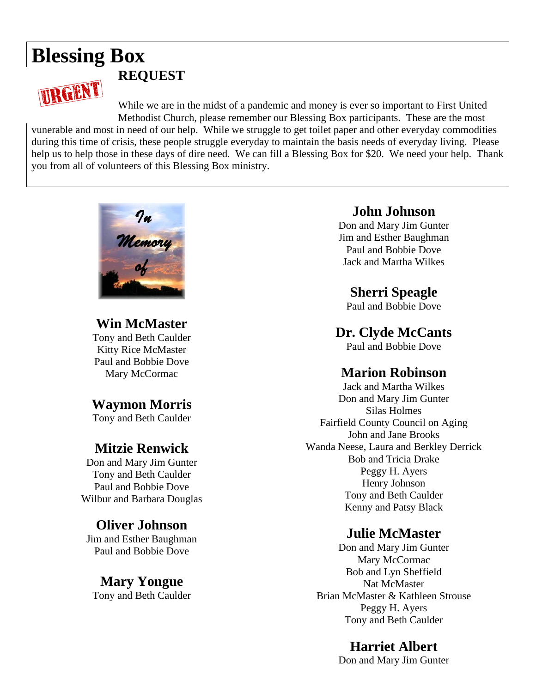## **Blessing Box REQUEST** URGENT

While we are in the midst of a pandemic and money is ever so important to First United Methodist Church, please remember our Blessing Box participants. These are the most

vunerable and most in need of our help. While we struggle to get toilet paper and other everyday commodities during this time of crisis, these people struggle everyday to maintain the basis needs of everyday living. Please help us to help those in these days of dire need. We can fill a Blessing Box for \$20. We need your help. Thank you from all of volunteers of this Blessing Box ministry.



**Win McMaster** Tony and Beth Caulder Kitty Rice McMaster Paul and Bobbie Dove Mary McCormac

### **Waymon Morris**

Tony and Beth Caulder

## **Mitzie Renwick**

Don and Mary Jim Gunter Tony and Beth Caulder Paul and Bobbie Dove Wilbur and Barbara Douglas

## **Oliver Johnson**

Jim and Esther Baughman Paul and Bobbie Dove

#### **Mary Yongue** Tony and Beth Caulder

#### **John Johnson**

Don and Mary Jim Gunter Jim and Esther Baughman Paul and Bobbie Dove Jack and Martha Wilkes

## **Sherri Speagle**

Paul and Bobbie Dove

**Dr. Clyde McCants**

Paul and Bobbie Dove

### **Marion Robinson**

Jack and Martha Wilkes Don and Mary Jim Gunter Silas Holmes Fairfield County Council on Aging John and Jane Brooks Wanda Neese, Laura and Berkley Derrick Bob and Tricia Drake Peggy H. Ayers Henry Johnson Tony and Beth Caulder Kenny and Patsy Black

## **Julie McMaster**

Don and Mary Jim Gunter Mary McCormac Bob and Lyn Sheffield Nat McMaster Brian McMaster & Kathleen Strouse Peggy H. Ayers Tony and Beth Caulder

## **Harriet Albert**

Don and Mary Jim Gunter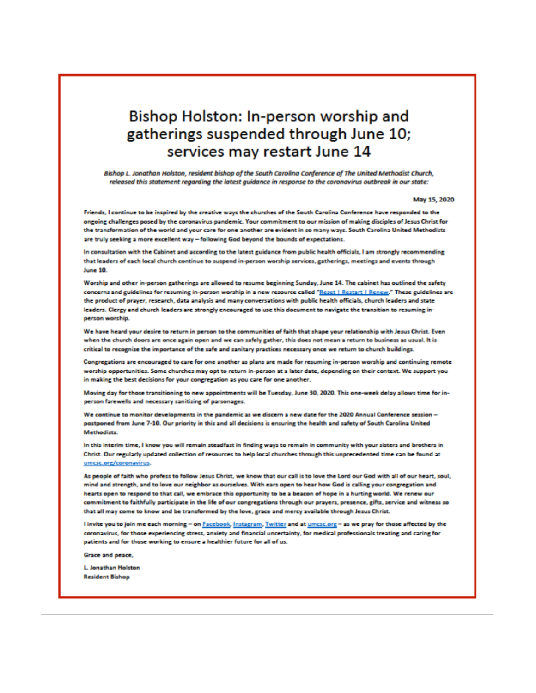## Bishop Holston: In-person worship and gatherings suspended through June 10: services may restart June 14

Bishop L. Jonathan Holston, resident bishop of the South Carolina Conference of The United Methodist Church, released this statement regarding the latest guidance in response to the coronavirus outbreak in our state:

#### May 15, 2020

Friends, I continue to be inspired by the creative ways the churches of the South Carolina Conference have responded to the ongoing challenges posed by the coronavirus pandemic. Your commitment to our mission of making disciples of Jesus Christ for the transformation of the world and your care for one another are evident in so many ways. South Carolina United Methodists are truly seeking a more excellent way - following God beyond the bounds of expectations.

In consultation with the Cabinet and according to the latest guidance from public health officials, I am strongly recommending that leaders of each local church continue to suspend in-person worship services, gatherings, meetings and events through **June 10.** 

Worship and other in-person gatherings are allowed to resume beginning Sunday, June 14. The cabinet has outlined the safety concerns and guidelines for resuming in-person worship in a new resource called "Reset I Restart I Renew," These guidelines are the product of prayer, research, data analysis and many conversations with public health officials, church leaders and state leaders. Clergy and church leaders are strongly encouraged to use this document to navigate the transition to resuming inperson worship.

We have heard your desire to return in person to the communities of faith that shape your relationship with Jesus Christ. Even when the church doors are once again open and we can safely gather, this does not mean a return to business as usual. It is critical to recognize the importance of the safe and sanitary practices necessary once we return to church buildings.

Congregations are encouraged to care for one another as plans are made for resuming in-person worship and continuing remote worship opportunities. Some churches may opt to return in-person at a later date, depending on their context. We support you in making the best decisions for your congregation as you care for one another.

Moving day for those transitioning to new appointments will be Tuesday, June 30, 2020. This one-week delay allows time for inperson farewells and necessary sanitizing of parsonages.

We continue to monitor developments in the pandemic as we discern a new date for the 2020 Annual Conference session postponed from June 7-10. Our priority in this and all decisions is ensuring the health and safety of South Carolina United **Methodists** 

In this interim time, I know you will remain steadfast in finding ways to remain in community with your sisters and brothers in Christ. Our regularly updated collection of resources to help local churches through this unprecedented time can be found at umcsc.org/coronavirus.

As people of faith who profess to follow Jesus Christ, we know that our call is to love the Lord our God with all of our heart, soul, mind and strength, and to love our neighbor as ourselves. With ears open to hear how God is calling your congregation and hearts open to respond to that call, we embrace this opportunity to be a beacon of hope in a hurting world. We renew our commitment to faithfully participate in the life of our congregations through our prayers, presence, gifts, service and witness so that all may come to know and be transformed by the love, grace and mercy available through Jesus Christ.

I invite you to join me each morning - on Facebook, Instagram, Twitter and at umcsc.org - as we pray for those affected by the coronavirus, for those experiencing stress, anxiety and financial uncertainty, for medical professionals treating and caring for patients and for those working to ensure a healthier future for all of us.

Grace and peace,

L. Jonathan Holston **Resident Bishop**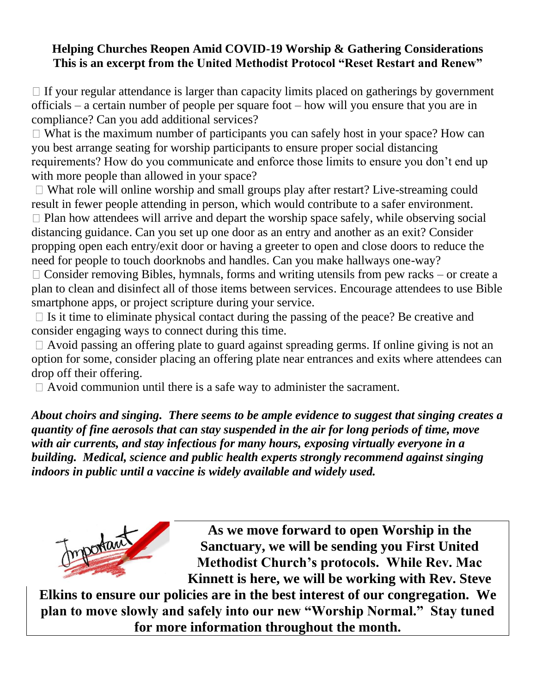#### **Helping Churches Reopen Amid COVID-19 Worship & Gathering Considerations This is an excerpt from the United Methodist Protocol "Reset Restart and Renew"**

 $\Box$  If your regular attendance is larger than capacity limits placed on gatherings by government officials – a certain number of people per square foot – how will you ensure that you are in compliance? Can you add additional services?

 $\Box$  What is the maximum number of participants you can safely host in your space? How can you best arrange seating for worship participants to ensure proper social distancing requirements? How do you communicate and enforce those limits to ensure you don't end up with more people than allowed in your space?

 $\Box$  What role will online worship and small groups play after restart? Live-streaming could result in fewer people attending in person, which would contribute to a safer environment.  $\Box$  Plan how attendees will arrive and depart the worship space safely, while observing social distancing guidance. Can you set up one door as an entry and another as an exit? Consider propping open each entry/exit door or having a greeter to open and close doors to reduce the need for people to touch doorknobs and handles. Can you make hallways one-way?  $\Box$  Consider removing Bibles, hymnals, forms and writing utensils from pew racks – or create a plan to clean and disinfect all of those items between services. Encourage attendees to use Bible smartphone apps, or project scripture during your service.

 $\Box$  Is it time to eliminate physical contact during the passing of the peace? Be creative and consider engaging ways to connect during this time.

 $\Box$  Avoid passing an offering plate to guard against spreading germs. If online giving is not an option for some, consider placing an offering plate near entrances and exits where attendees can drop off their offering.

 $\Box$  Avoid communion until there is a safe way to administer the sacrament.

*About choirs and singing. There seems to be ample evidence to suggest that singing creates a quantity of fine aerosols that can stay suspended in the air for long periods of time, move with air currents, and stay infectious for many hours, exposing virtually everyone in a building. Medical, science and public health experts strongly recommend against singing indoors in public until a vaccine is widely available and widely used.* 



**As we move forward to open Worship in the Sanctuary, we will be sending you First United Methodist Church's protocols. While Rev. Mac Kinnett is here, we will be working with Rev. Steve** 

**Elkins to ensure our policies are in the best interest of our congregation. We plan to move slowly and safely into our new "Worship Normal." Stay tuned for more information throughout the month.**